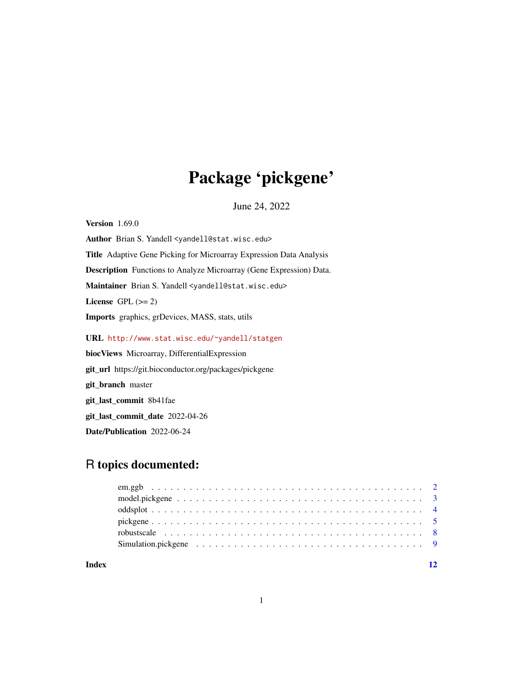## Package 'pickgene'

June 24, 2022

<span id="page-0-0"></span>Version 1.69.0 Author Brian S. Yandell <yandell@stat.wisc.edu> Title Adaptive Gene Picking for Microarray Expression Data Analysis Description Functions to Analyze Microarray (Gene Expression) Data. Maintainer Brian S. Yandell <yandell@stat.wisc.edu> License GPL  $(>= 2)$ Imports graphics, grDevices, MASS, stats, utils URL <http://www.stat.wisc.edu/~yandell/statgen> biocViews Microarray, DifferentialExpression

git\_url https://git.bioconductor.org/packages/pickgene git\_branch master git\_last\_commit 8b41fae git\_last\_commit\_date 2022-04-26 Date/Publication 2022-06-24

### R topics documented:

| robustscale $\ldots \ldots \ldots \ldots \ldots \ldots \ldots \ldots \ldots \ldots \ldots \ldots \ldots$ |  |
|----------------------------------------------------------------------------------------------------------|--|
|                                                                                                          |  |
|                                                                                                          |  |

**Index** [12](#page-11-0)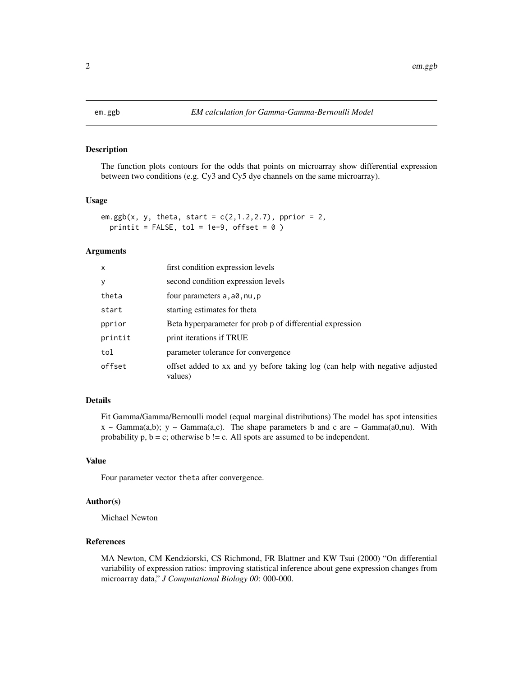<span id="page-1-1"></span><span id="page-1-0"></span>

#### Description

The function plots contours for the odds that points on microarray show differential expression between two conditions (e.g. Cy3 and Cy5 dye channels on the same microarray).

#### Usage

```
em.ggb(x, y, theta, start = c(2, 1.2, 2.7), pprior = 2,
 printit = FALSE, tol = 1e-9, offset = 0)
```
#### Arguments

| x       | first condition expression levels                                                       |
|---------|-----------------------------------------------------------------------------------------|
| у       | second condition expression levels                                                      |
| theta   | four parameters a, a0, nu, p                                                            |
| start   | starting estimates for theta                                                            |
| pprior  | Beta hyperparameter for prob p of differential expression                               |
| printit | print iterations if TRUE                                                                |
| tol     | parameter tolerance for convergence                                                     |
| offset  | offset added to xx and yy before taking log (can help with negative adjusted<br>values) |

#### Details

Fit Gamma/Gamma/Bernoulli model (equal marginal distributions) The model has spot intensities  $x \sim \text{Gamma}(a,b)$ ;  $y \sim \text{Gamma}(a,c)$ . The shape parameters b and c are  $\sim \text{Gamma}(a0,nu)$ . With probability  $p$ ,  $b = c$ ; otherwise  $b$  != c. All spots are assumed to be independent.

#### Value

Four parameter vector theta after convergence.

#### Author(s)

Michael Newton

#### References

MA Newton, CM Kendziorski, CS Richmond, FR Blattner and KW Tsui (2000) "On differential variability of expression ratios: improving statistical inference about gene expression changes from microarray data," *J Computational Biology 00*: 000-000.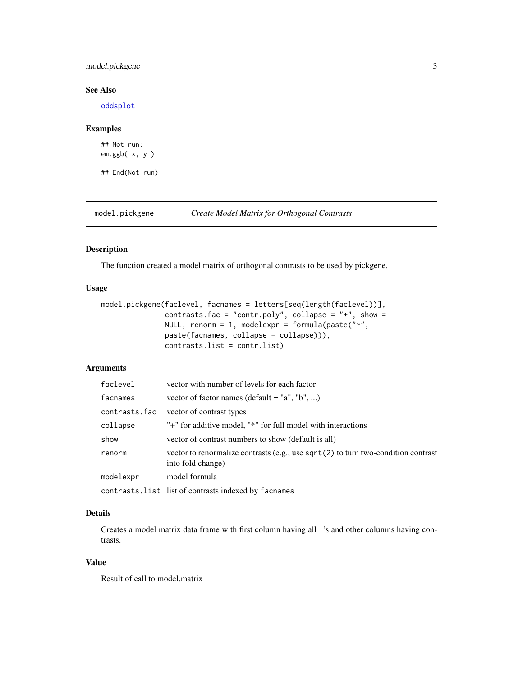#### <span id="page-2-0"></span>model.pickgene 3

#### See Also

[oddsplot](#page-3-1)

#### Examples

```
## Not run:
em.ggb( x, y )
```
## End(Not run)

model.pickgene *Create Model Matrix for Orthogonal Contrasts*

#### Description

The function created a model matrix of orthogonal contrasts to be used by pickgene.

#### Usage

```
model.pickgene(faclevel, facnames = letters[seq(length(faclevel))],
               contrasts.fac = "contr.poly", collapse = "+", show =
               NULL, renorm = 1, modelexpr = formula(paste("\sim",
               paste(facnames, collapse = collapse))),
               contrasts.list = contr.list)
```
#### Arguments

| faclevel      | vector with number of levels for each factor                                                             |
|---------------|----------------------------------------------------------------------------------------------------------|
| facnames      | vector of factor names (default = "a", "b", )                                                            |
| contrasts.fac | vector of contrast types                                                                                 |
| collapse      | "+" for additive model, "*" for full model with interactions                                             |
| show          | vector of contrast numbers to show (default is all)                                                      |
| renorm        | vector to renormalize contrasts (e.g., use $sqrt(2)$ to turn two-condition contrast<br>into fold change) |
| modelexpr     | model formula                                                                                            |
|               | contrasts. list list of contrasts indexed by facnames                                                    |

#### Details

Creates a model matrix data frame with first column having all 1's and other columns having contrasts.

#### Value

Result of call to model.matrix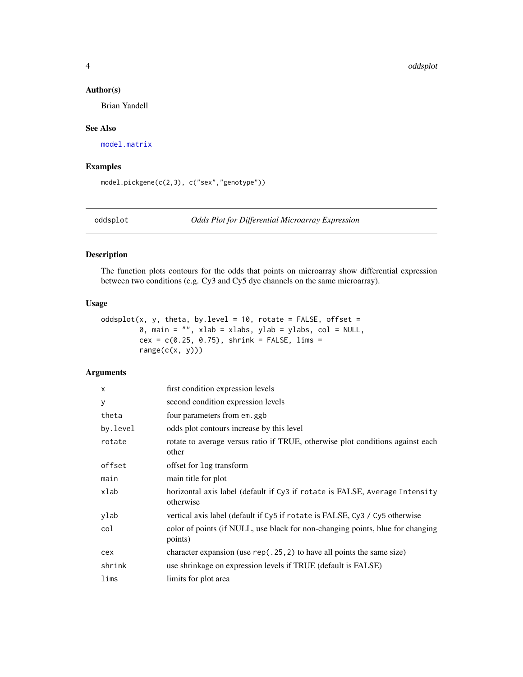#### <span id="page-3-0"></span>Author(s)

Brian Yandell

#### See Also

[model.matrix](#page-0-0)

#### Examples

model.pickgene(c(2,3), c("sex","genotype"))

<span id="page-3-1"></span>oddsplot *Odds Plot for Differential Microarray Expression*

#### Description

The function plots contours for the odds that points on microarray show differential expression between two conditions (e.g. Cy3 and Cy5 dye channels on the same microarray).

#### Usage

```
oddsplot(x, y, theta, by.level = 10, rotate = FALSE, offset =
         0, main = "", xlab = xlabs, ylab = ylabs, col = NULL,
         cex = c(0.25, 0.75), shrink = FALSE, lims =
        range(c(x, y)))
```
#### Arguments

| $\times$ | first condition expression levels                                                         |
|----------|-------------------------------------------------------------------------------------------|
| y        | second condition expression levels                                                        |
| theta    | four parameters from em.ggb                                                               |
| by.level | odds plot contours increase by this level                                                 |
| rotate   | rotate to average versus ratio if TRUE, otherwise plot conditions against each<br>other   |
| offset   | offset for log transform                                                                  |
| main     | main title for plot                                                                       |
| xlab     | horizontal axis label (default if Cy3 if rotate is FALSE, Average Intensity<br>otherwise  |
| ylab     | vertical axis label (default if Cy5 if rotate is FALSE, Cy3 / Cy5 otherwise               |
| col      | color of points (if NULL, use black for non-changing points, blue for changing<br>points) |
| cex      | character expansion (use $rep(.25, 2)$ to have all points the same size)                  |
| shrink   | use shrinkage on expression levels if TRUE (default is FALSE)                             |
| lims     | limits for plot area                                                                      |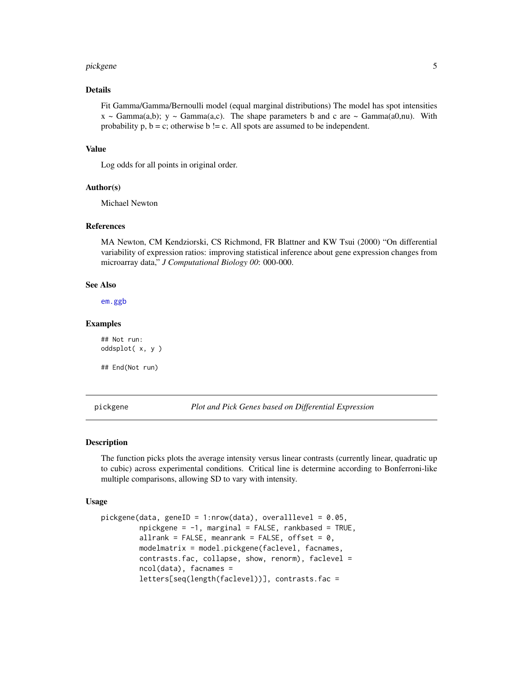#### <span id="page-4-0"></span>pickgene 55 to 55 million of the state of the state of the state of the state of the state of the state of the

#### Details

Fit Gamma/Gamma/Bernoulli model (equal marginal distributions) The model has spot intensities  $x \sim \text{Gamma}(a,b)$ ;  $y \sim \text{Gamma}(a,c)$ . The shape parameters b and c are  $\sim \text{Gamma}(a0,nu)$ . With probability  $p$ ,  $b = c$ ; otherwise  $b$  != c. All spots are assumed to be independent.

#### Value

Log odds for all points in original order.

#### Author(s)

Michael Newton

#### References

MA Newton, CM Kendziorski, CS Richmond, FR Blattner and KW Tsui (2000) "On differential variability of expression ratios: improving statistical inference about gene expression changes from microarray data," *J Computational Biology 00*: 000-000.

#### See Also

[em.ggb](#page-1-1)

#### Examples

## Not run: oddsplot( x, y )

## End(Not run)

<span id="page-4-1"></span>pickgene *Plot and Pick Genes based on Differential Expression*

#### Description

The function picks plots the average intensity versus linear contrasts (currently linear, quadratic up to cubic) across experimental conditions. Critical line is determine according to Bonferroni-like multiple comparisons, allowing SD to vary with intensity.

#### Usage

```
pickgene(data, geneID = 1:nrow(data), overalllevel = 0.05,
         npickgene = -1, marginal = FALSE, rankbased = TRUE,
         allrank = FALSE, meanrank = FALSE, offset = 0,
         modelmatrix = model.pickgene(faclevel, facnames,
         contrasts.fac, collapse, show, renorm), faclevel =
         ncol(data), facnames =
         letters[seq(length(faclevel))], contrasts.fac =
```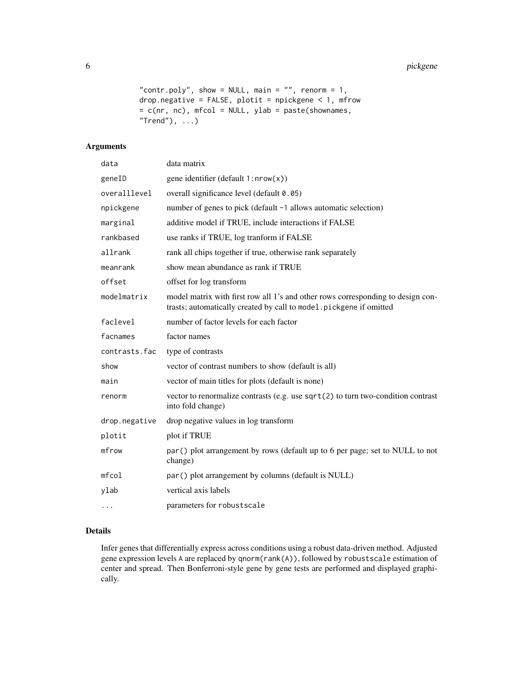```
"contr.poly", show = NULL, main = "", renorm = 1,
drop.negative = FALSE, plotit = npickgene < 1, mfrow
= c(nr, nc), mfcol = NULL, ylab = paste(shownames,
"Trend"), \dots)
```
#### Arguments

| data          | data matrix                                                                                                                                           |
|---------------|-------------------------------------------------------------------------------------------------------------------------------------------------------|
| geneID        | gene identifier (default 1:nrow(x))                                                                                                                   |
| overalllevel  | overall significance level (default 0.05)                                                                                                             |
| npickgene     | number of genes to pick (default -1 allows automatic selection)                                                                                       |
| marginal      | additive model if TRUE, include interactions if FALSE                                                                                                 |
| rankbased     | use ranks if TRUE, log tranform if FALSE                                                                                                              |
| allrank       | rank all chips together if true, otherwise rank separately                                                                                            |
| meanrank      | show mean abundance as rank if TRUE                                                                                                                   |
| offset        | offset for log transform                                                                                                                              |
| modelmatrix   | model matrix with first row all 1's and other rows corresponding to design con-<br>trasts; automatically created by call to model.pickgene if omitted |
| faclevel      | number of factor levels for each factor                                                                                                               |
| facnames      | factor names                                                                                                                                          |
| contrasts.fac | type of contrasts                                                                                                                                     |
| show          | vector of contrast numbers to show (default is all)                                                                                                   |
| main          | vector of main titles for plots (default is none)                                                                                                     |
| renorm        | vector to renormalize contrasts (e.g. use $sqrt(2)$ to turn two-condition contrast<br>into fold change)                                               |
| drop.negative | drop negative values in log transform                                                                                                                 |
| plotit        | plot if TRUE                                                                                                                                          |
| mfrow         | par() plot arrangement by rows (default up to 6 per page; set to NULL to not<br>change)                                                               |
| mfcol         | par() plot arrangement by columns (default is NULL)                                                                                                   |
| ylab          | vertical axis labels                                                                                                                                  |
| $\cdots$      | parameters for robustscale                                                                                                                            |

#### Details

Infer genes that differentially express across conditions using a robust data-driven method. Adjusted gene expression levels A are replaced by qnorm(rank(A)), followed by robustscale estimation of center and spread. Then Bonferroni-style gene by gene tests are performed and displayed graphically.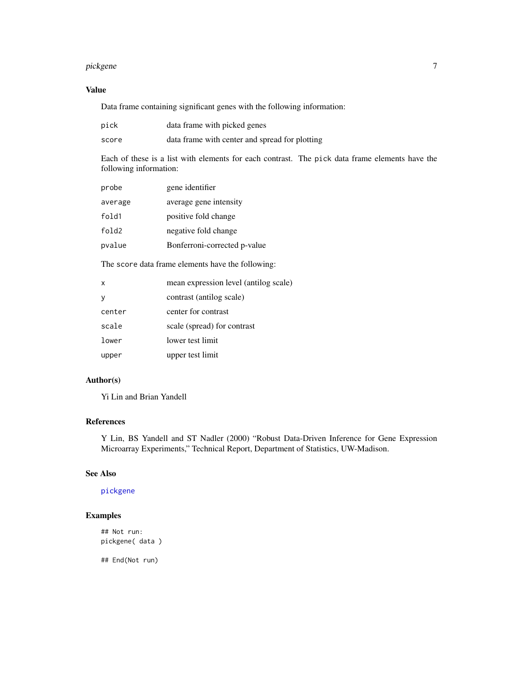#### <span id="page-6-0"></span>pickgene *7*

#### Value

Data frame containing significant genes with the following information:

| pick  | data frame with picked genes                   |
|-------|------------------------------------------------|
| score | data frame with center and spread for plotting |

Each of these is a list with elements for each contrast. The pick data frame elements have the following information:

| probe   | gene identifier              |
|---------|------------------------------|
| average | average gene intensity       |
| fold1   | positive fold change         |
| fold2   | negative fold change         |
| pvalue  | Bonferroni-corrected p-value |
|         |                              |

The score data frame elements have the following:

| $\mathsf{x}$ | mean expression level (antilog scale) |
|--------------|---------------------------------------|
| V            | contrast (antilog scale)              |
| center       | center for contrast                   |
| scale        | scale (spread) for contrast           |
| lower        | lower test limit                      |
| upper        | upper test limit                      |

#### Author(s)

Yi Lin and Brian Yandell

#### References

Y Lin, BS Yandell and ST Nadler (2000) "Robust Data-Driven Inference for Gene Expression Microarray Experiments," Technical Report, Department of Statistics, UW-Madison.

#### See Also

#### [pickgene](#page-4-1)

#### Examples

## Not run: pickgene( data )

## End(Not run)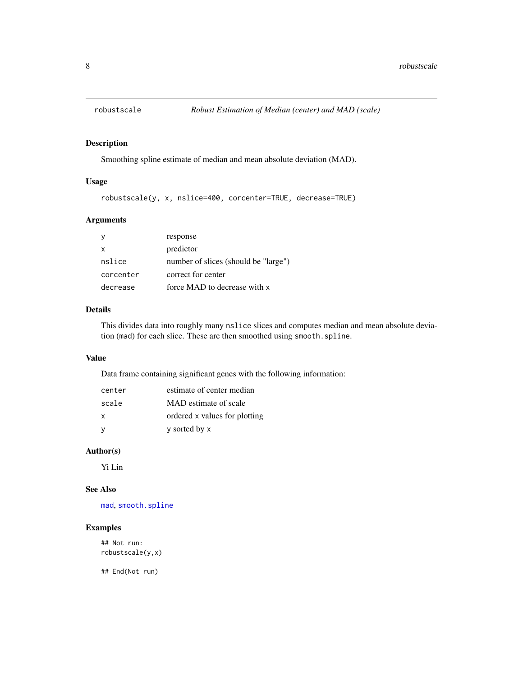<span id="page-7-0"></span>

#### Description

Smoothing spline estimate of median and mean absolute deviation (MAD).

#### Usage

robustscale(y, x, nslice=400, corcenter=TRUE, decrease=TRUE)

#### Arguments

|           | response                             |
|-----------|--------------------------------------|
| x         | predictor                            |
| nslice    | number of slices (should be "large") |
| corcenter | correct for center                   |
| decrease  | force MAD to decrease with x         |

#### Details

This divides data into roughly many nslice slices and computes median and mean absolute deviation (mad) for each slice. These are then smoothed using smooth.spline.

#### Value

Data frame containing significant genes with the following information:

| center       | estimate of center median     |
|--------------|-------------------------------|
| scale        | MAD estimate of scale         |
| $\mathsf{x}$ | ordered x values for plotting |
| <b>V</b>     | y sorted by x                 |

#### Author(s)

Yi Lin

#### See Also

[mad](#page-0-0), [smooth.spline](#page-0-0)

#### Examples

## Not run: robustscale(y,x)

## End(Not run)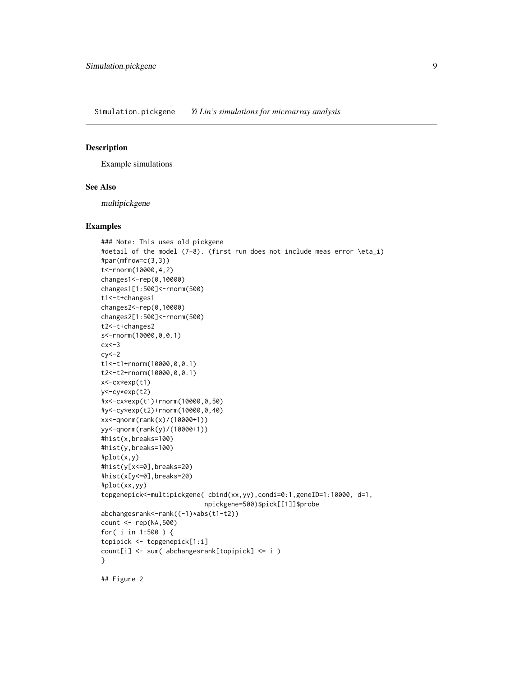<span id="page-8-0"></span>Simulation.pickgene *Yi Lin's simulations for microarray analysis*

#### Description

Example simulations

#### See Also

multipickgene

#### Examples

```
### Note: This uses old pickgene
#detail of the model (7-8). (first run does not include meas error \eta_i)
#par(mfrow=c(3,3))
t<-rnorm(10000,4,2)
changes1<-rep(0,10000)
changes1[1:500]<-rnorm(500)
t1<-t+changes1
changes2<-rep(0,10000)
changes2[1:500]<-rnorm(500)
t2<-t+changes2
s<-rnorm(10000,0,0.1)
cx < -3cy < -2t1<-t1+rnorm(10000,0,0.1)
t2<-t2+rnorm(10000,0,0.1)
x<-cx*exp(t1)
y<-cy*exp(t2)
#x<-cx*exp(t1)+rnorm(10000,0,50)
#y<-cy*exp(t2)+rnorm(10000,0,40)
xx<-qnorm(rank(x)/(10000+1))
yy<-qnorm(rank(y)/(10000+1))
#hist(x,breaks=100)
#hist(y,breaks=100)
#plot(x,y)
#hist(y[x<=0],breaks=20)
#hist(x[y<=0],breaks=20)
#plot(xx,yy)
topgenepick<-multipickgene( cbind(xx,yy),condi=0:1,geneID=1:10000, d=1,
                           npickgene=500)$pick[[1]]$probe
abchangesrank<-rank((-1)*abs(t1-t2))
count <- rep(NA,500)
for( i in 1:500 ) {
topipick <- topgenepick[1:i]
count[i] <- sum( abchangesrank[topipick] <= i )
}
## Figure 2
```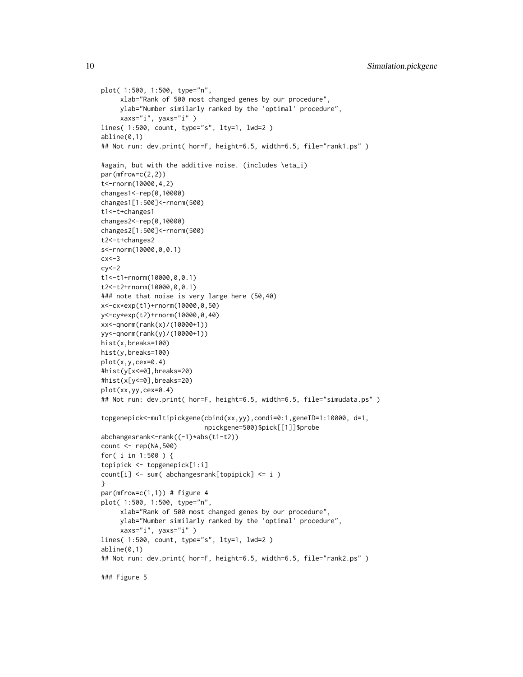```
plot( 1:500, 1:500, type="n",
     xlab="Rank of 500 most changed genes by our procedure",
     ylab="Number similarly ranked by the 'optimal' procedure",
     xaxs="i", yaxs="i" )
lines( 1:500, count, type="s", lty=1, lwd=2 )
abline(0,1)
## Not run: dev.print( hor=F, height=6.5, width=6.5, file="rank1.ps")
#again, but with the additive noise. (includes \eta_i)
par(mfrow=c(2,2))
t<-rnorm(10000,4,2)
changes1<-rep(0,10000)
changes1[1:500]<-rnorm(500)
t1<-t+changes1
changes2<-rep(0,10000)
changes2[1:500]<-rnorm(500)
t2<-t+changes2
s<-rnorm(10000,0,0.1)
cx < -3cy < -2t1<-t1+rnorm(10000,0,0.1)
t2<-t2+rnorm(10000,0,0.1)
### note that noise is very large here (50,40)
x<-cx*exp(t1)+rnorm(10000,0,50)
y<-cy*exp(t2)+rnorm(10000,0,40)
xx<-qnorm(rank(x)/(10000+1))
yy<-qnorm(rank(y)/(10000+1))
hist(x,breaks=100)
hist(y,breaks=100)
plot(x,y,cex=0.4)
#hist(y[x<=0],breaks=20)
#hist(x[y<=0],breaks=20)
plot(xx,yy,cex=0.4)
## Not run: dev.print( hor=F, height=6.5, width=6.5, file="simudata.ps")
topgenepick<-multipickgene(cbind(xx,yy),condi=0:1,geneID=1:10000, d=1,
                           npickgene=500)$pick[[1]]$probe
abchangesrank<-rank((-1)*abs(t1-t2))
count <- rep(NA,500)
for( i in 1:500 ) {
topipick <- topgenepick[1:i]
count[i] <- sum( abchangesrank[topipick] <= i )
}
par(mfrow=c(1,1)) # figure 4
plot( 1:500, 1:500, type="n",
     xlab="Rank of 500 most changed genes by our procedure",
     ylab="Number similarly ranked by the 'optimal' procedure",
     xaxs="i", yaxs="i" )
lines( 1:500, count, type="s", lty=1, lwd=2 )
abline(0,1)
## Not run: dev.print( hor=F, height=6.5, width=6.5, file="rank2.ps")
### Figure 5
```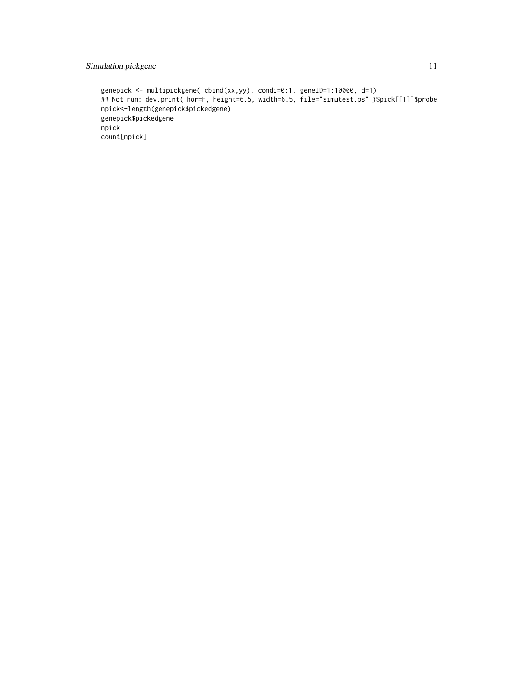#### Simulation.pickgene 11

```
genepick <- multipickgene( cbind(xx,yy), condi=0:1, geneID=1:10000, d=1)
## Not run: dev.print( hor=F, height=6.5, width=6.5, file="simutest.ps" )$pick[[1]]$probe
npick<-length(genepick$pickedgene)
genepick$pickedgene
npick
count[npick]
```